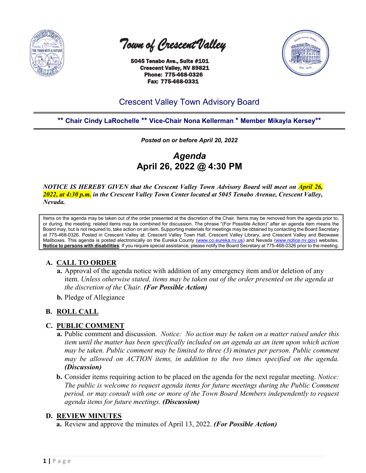

 *Town of Crescent Valley* 

 5045 Tenabo Ave., Suite #101 Crescent Valley, NV 89821 Phone: 775-468-0326 Fax: 775-468-0331



# Crescent Valley Town Advisory Board

# **\*\* Chair Cindy LaRochelle \*\* Vice-Chair Nona Kellerman \* Member Mikayla Kersey\*\***

*Posted on or before April 20, 2022*

*Agenda* **April 26, 2022 @ 4:30 PM**

*NOTICE IS HEREBY GIVEN that the Crescent Valley Town Advisory Board will meet on April 26, 2022, at 4:30 p.m. in the Crescent Valley Town Center located at 5045 Tenabo Avenue, Crescent Valley, Nevada.* 

Items on the agenda may be taken out of the order presented at the discretion of the Chair. Items may be removed from the agenda prior to, or during, the meeting; related items may be combined for discussion. The phrase "(For Possible Action)" after an agenda item means the Board may, but is not required to, take action on an item. Supporting materials for meetings may be obtained by contacting the Board Secretary at 775-468-0326. Posted in Crescent Valley at: Crescent Valley Town Hall, Crescent Valley Library, and Crescent Valley and Beowawe Mailboxes. This agenda is posted electronically on the Eureka County [\(www.co.eureka.nv.us\)](http://www.co.eureka.nv.us/) and Nevada [\(www.notice.nv.gov\)](http://www.notice.nv.gov/) websites. **Notice to persons with disabilities**: If you require special assistance, please notify the Board Secretary at 775-468-0326 prior to the meeting.

# **A. CALL TO ORDER**

- **a.** Approval of the agenda notice with addition of any emergency item and/or deletion of any item. *Unless otherwise stated, items may be taken out of the order presented on the agenda at the discretion of the Chair. (For Possible Action)*
- **b.** Pledge of Allegiance

# **B. ROLL CALL**

#### **C. PUBLIC COMMENT**

- **a.** Public comment and discussion. *Notice: No action may be taken on a matter raised under this item until the matter has been specifically included on an agenda as an item upon which action may be taken. Public comment may be limited to three (3) minutes per person. Public comment may be allowed on ACTION items, in addition to the two times specified on the agenda. (Discussion)*
- **b.** Consider items requiring action to be placed on the agenda for the next regular meeting. *Notice: The public is welcome to request agenda items for future meetings during the Public Comment period, or may consult with one or more of the Town Board Members independently to request agenda items for future meetings. (Discussion)*

#### **D. REVIEW MINUTES**

**a.** Review and approve the minutes of April 13, 2022. *(For Possible Action)*